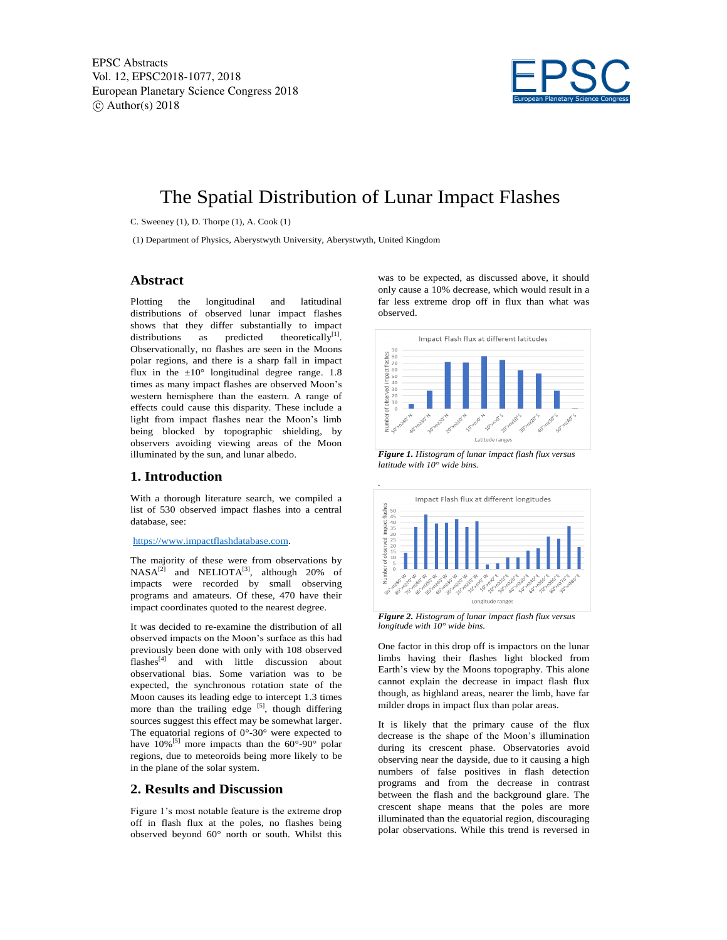

# The Spatial Distribution of Lunar Impact Flashes

C. Sweeney (1), D. Thorpe (1), A. Cook (1)

(1) Department of Physics, Aberystwyth University, Aberystwyth, United Kingdom

## **Abstract**

Plotting the longitudinal and latitudinal distributions of observed lunar impact flashes shows that they differ substantially to impact distributions as predicted theoretically<sup>[1]</sup>. Observationally, no flashes are seen in the Moons polar regions, and there is a sharp fall in impact flux in the  $\pm 10^{\circ}$  longitudinal degree range. 1.8 times as many impact flashes are observed Moon's western hemisphere than the eastern. A range of effects could cause this disparity. These include a light from impact flashes near the Moon's limb being blocked by topographic shielding, by observers avoiding viewing areas of the Moon illuminated by the sun, and lunar albedo.

### **1. Introduction**

With a thorough literature search, we compiled a list of 530 observed impact flashes into a central database, see:

#### https://www.impactflashdatabase.com.

The majority of these were from observations by  $NASA^{[2]}$  and  $NELIOTA^{[3]}$ , although 20% of impacts were recorded by small observing programs and amateurs. Of these, 470 have their impact coordinates quoted to the nearest degree.

It was decided to re-examine the distribution of all observed impacts on the Moon's surface as this had previously been done with only with 108 observed  $flashes<sup>[4]</sup>$  and with little discussion about observational bias. Some variation was to be expected, the synchronous rotation state of the Moon causes its leading edge to intercept 1.3 times more than the trailing edge  $[5]$ , though differing sources suggest this effect may be somewhat larger. The equatorial regions of  $0^{\circ}$ -30° were expected to have  $10\%^{51}$  more impacts than the  $60^{\circ}$ -90° polar regions, due to meteoroids being more likely to be in the plane of the solar system.

# **2. Results and Discussion**

Figure 1's most notable feature is the extreme drop off in flash flux at the poles, no flashes being observed beyond 60° north or south. Whilst this

was to be expected, as discussed above, it should only cause a 10% decrease, which would result in a far less extreme drop off in flux than what was observed.



*Figure 1. Histogram of lunar impact flash flux versus latitude with 10° wide bins.*



*Figure 2. Histogram of lunar impact flash flux versus longitude with 10° wide bins.*

One factor in this drop off is impactors on the lunar limbs having their flashes light blocked from Earth's view by the Moons topography. This alone cannot explain the decrease in impact flash flux though, as highland areas, nearer the limb, have far milder drops in impact flux than polar areas.

It is likely that the primary cause of the flux decrease is the shape of the Moon's illumination during its crescent phase. Observatories avoid observing near the dayside, due to it causing a high numbers of false positives in flash detection programs and from the decrease in contrast between the flash and the background glare. The crescent shape means that the poles are more illuminated than the equatorial region, discouraging polar observations. While this trend is reversed in